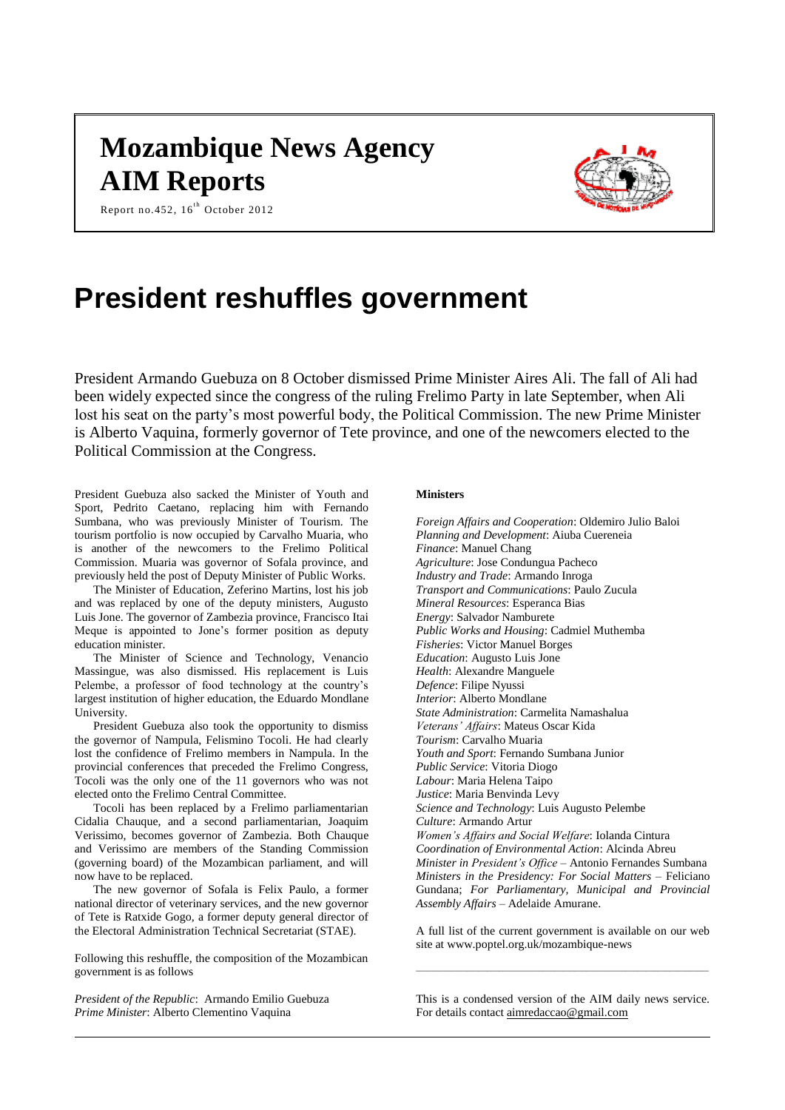# **Mozambique News Agency AIM Reports**



Report no.452,  $16^{th}$  October 2012

# **President reshuffles government**

President Armando Guebuza on 8 October dismissed Prime Minister Aires Ali. The fall of Ali had been widely expected since the congress of the ruling Frelimo Party in late September, when Ali lost his seat on the party's most powerful body, the Political Commission. The new Prime Minister is Alberto Vaquina, formerly governor of Tete province, and one of the newcomers elected to the Political Commission at the Congress.

President Guebuza also sacked the Minister of Youth and Sport, Pedrito Caetano, replacing him with Fernando Sumbana, who was previously Minister of Tourism. The tourism portfolio is now occupied by Carvalho Muaria, who is another of the newcomers to the Frelimo Political Commission. Muaria was governor of Sofala province, and previously held the post of Deputy Minister of Public Works.

The Minister of Education, Zeferino Martins, lost his job and was replaced by one of the deputy ministers, Augusto Luis Jone. The governor of Zambezia province, Francisco Itai Meque is appointed to Jone's former position as deputy education minister.

The Minister of Science and Technology, Venancio Massingue, was also dismissed. His replacement is Luis Pelembe, a professor of food technology at the country's largest institution of higher education, the Eduardo Mondlane University.

President Guebuza also took the opportunity to dismiss the governor of Nampula, Felismino Tocoli. He had clearly lost the confidence of Frelimo members in Nampula. In the provincial conferences that preceded the Frelimo Congress, Tocoli was the only one of the 11 governors who was not elected onto the Frelimo Central Committee.

Tocoli has been replaced by a Frelimo parliamentarian Cidalia Chauque, and a second parliamentarian, Joaquim Verissimo, becomes governor of Zambezia. Both Chauque and Verissimo are members of the Standing Commission (governing board) of the Mozambican parliament, and will now have to be replaced.

The new governor of Sofala is Felix Paulo, a former national director of veterinary services, and the new governor of Tete is Ratxide Gogo, a former deputy general director of the Electoral Administration Technical Secretariat (STAE).

Following this reshuffle, the composition of the Mozambican government is as follows

*President of the Republic*: Armando Emilio Guebuza *Prime Minister*: Alberto Clementino Vaquina

## **Ministers**

*Foreign Affairs and Cooperation*: Oldemiro Julio Baloi *Planning and Development*: Aiuba Cuereneia *Finance*: Manuel Chang *Agriculture*: Jose Condungua Pacheco *Industry and Trade*: Armando Inroga *Transport and Communications*: Paulo Zucula *Mineral Resources*: Esperanca Bias *Energy*: Salvador Namburete *Public Works and Housing*: Cadmiel Muthemba *Fisheries*: Victor Manuel Borges *Education*: Augusto Luis Jone *Health*: Alexandre Manguele *Defence*: Filipe Nyussi *Interior*: Alberto Mondlane *State Administration*: Carmelita Namashalua *Veterans' Affairs*: Mateus Oscar Kida *Tourism*: Carvalho Muaria *Youth and Sport*: Fernando Sumbana Junior *Public Service*: Vitoria Diogo *Labour*: Maria Helena Taipo *Justice*: Maria Benvinda Levy *Science and Technology*: Luis Augusto Pelembe *Culture*: Armando Artur *Women's Affairs and Social Welfare*: Iolanda Cintura *Coordination of Environmental Action*: Alcinda Abreu *Minister in President's Office* – Antonio Fernandes Sumbana *Ministers in the Presidency: For Social Matters* – Feliciano Gundana; *For Parliamentary, Municipal and Provincial Assembly Affairs* – Adelaide Amurane.

A full list of the current government is available on our web site at www.poptel.org.uk/mozambique-news

 $\_$  , and the set of the set of the set of the set of the set of the set of the set of the set of the set of the set of the set of the set of the set of the set of the set of the set of the set of the set of the set of th

This is a condensed version of the AIM daily news service. For details contac[t aimredaccao@gmail.com](mailto:aimredaccao@gmail.com)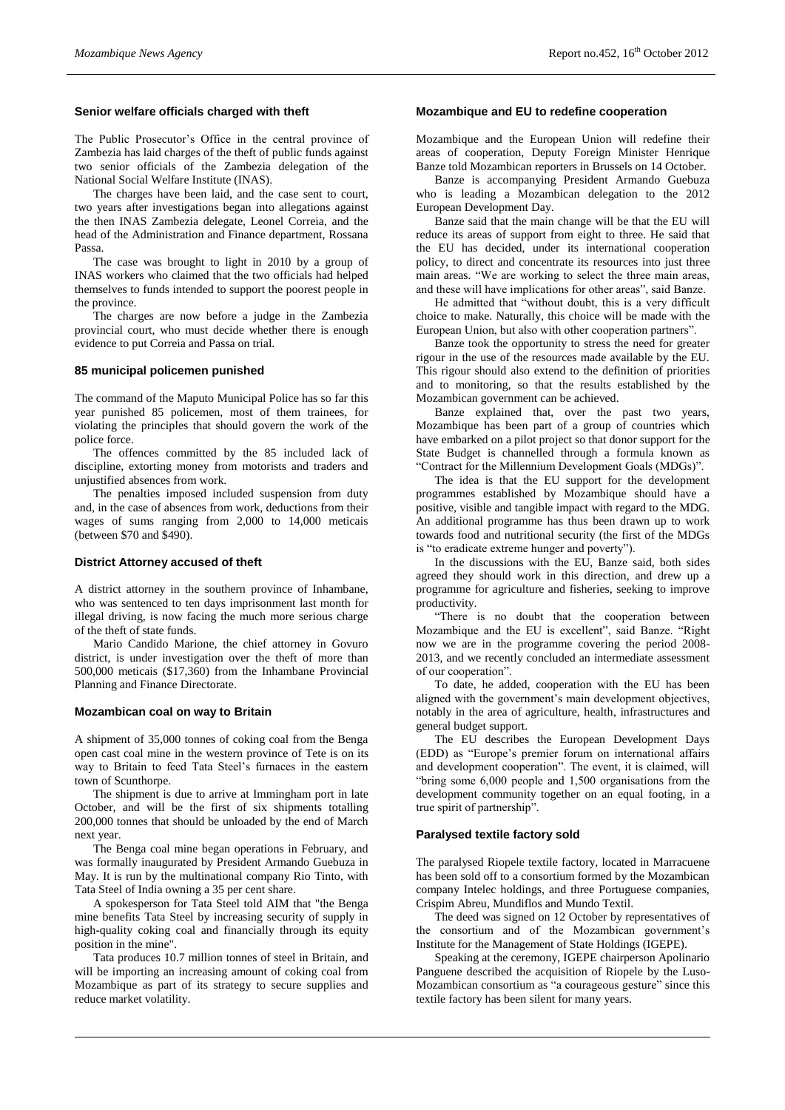#### **Senior welfare officials charged with theft**

The Public Prosecutor's Office in the central province of Zambezia has laid charges of the theft of public funds against two senior officials of the Zambezia delegation of the National Social Welfare Institute (INAS).

The charges have been laid, and the case sent to court, two years after investigations began into allegations against the then INAS Zambezia delegate, Leonel Correia, and the head of the Administration and Finance department, Rossana Passa.

The case was brought to light in 2010 by a group of INAS workers who claimed that the two officials had helped themselves to funds intended to support the poorest people in the province.

The charges are now before a judge in the Zambezia provincial court, who must decide whether there is enough evidence to put Correia and Passa on trial.

#### **85 municipal policemen punished**

The command of the Maputo Municipal Police has so far this year punished 85 policemen, most of them trainees, for violating the principles that should govern the work of the police force.

The offences committed by the 85 included lack of discipline, extorting money from motorists and traders and unjustified absences from work.

The penalties imposed included suspension from duty and, in the case of absences from work, deductions from their wages of sums ranging from 2,000 to 14,000 meticais (between \$70 and \$490).

#### **District Attorney accused of theft**

A district attorney in the southern province of Inhambane, who was sentenced to ten days imprisonment last month for illegal driving, is now facing the much more serious charge of the theft of state funds.

Mario Candido Marione, the chief attorney in Govuro district, is under investigation over the theft of more than 500,000 meticais (\$17,360) from the Inhambane Provincial Planning and Finance Directorate.

#### **Mozambican coal on way to Britain**

A shipment of 35,000 tonnes of coking coal from the Benga open cast coal mine in the western province of Tete is on its way to Britain to feed Tata Steel's furnaces in the eastern town of Scunthorpe.

The shipment is due to arrive at Immingham port in late October, and will be the first of six shipments totalling 200,000 tonnes that should be unloaded by the end of March next year.

The Benga coal mine began operations in February, and was formally inaugurated by President Armando Guebuza in May. It is run by the multinational company Rio Tinto, with Tata Steel of India owning a 35 per cent share.

A spokesperson for Tata Steel told AIM that "the Benga mine benefits Tata Steel by increasing security of supply in high-quality coking coal and financially through its equity position in the mine".

Tata produces 10.7 million tonnes of steel in Britain, and will be importing an increasing amount of coking coal from Mozambique as part of its strategy to secure supplies and reduce market volatility.

#### **Mozambique and EU to redefine cooperation**

Mozambique and the European Union will redefine their areas of cooperation, Deputy Foreign Minister Henrique Banze told Mozambican reporters in Brussels on 14 October.

Banze is accompanying President Armando Guebuza who is leading a Mozambican delegation to the 2012 European Development Day.

Banze said that the main change will be that the EU will reduce its areas of support from eight to three. He said that the EU has decided, under its international cooperation policy, to direct and concentrate its resources into just three main areas. "We are working to select the three main areas, and these will have implications for other areas", said Banze.

He admitted that "without doubt, this is a very difficult choice to make. Naturally, this choice will be made with the European Union, but also with other cooperation partners".

Banze took the opportunity to stress the need for greater rigour in the use of the resources made available by the EU. This rigour should also extend to the definition of priorities and to monitoring, so that the results established by the Mozambican government can be achieved.

Banze explained that, over the past two years, Mozambique has been part of a group of countries which have embarked on a pilot project so that donor support for the State Budget is channelled through a formula known as "Contract for the Millennium Development Goals (MDGs)".

The idea is that the EU support for the development programmes established by Mozambique should have a positive, visible and tangible impact with regard to the MDG. An additional programme has thus been drawn up to work towards food and nutritional security (the first of the MDGs is "to eradicate extreme hunger and poverty").

In the discussions with the EU, Banze said, both sides agreed they should work in this direction, and drew up a programme for agriculture and fisheries, seeking to improve productivity.

"There is no doubt that the cooperation between Mozambique and the EU is excellent", said Banze. "Right now we are in the programme covering the period 2008- 2013, and we recently concluded an intermediate assessment of our cooperation".

To date, he added, cooperation with the EU has been aligned with the government's main development objectives, notably in the area of agriculture, health, infrastructures and general budget support.

The EU describes the European Development Days (EDD) as "Europe's premier forum on international affairs and development cooperation". The event, it is claimed, will "bring some 6,000 people and 1,500 organisations from the development community together on an equal footing, in a true spirit of partnership".

#### **Paralysed textile factory sold**

The paralysed Riopele textile factory, located in Marracuene has been sold off to a consortium formed by the Mozambican company Intelec holdings, and three Portuguese companies, Crispim Abreu, Mundiflos and Mundo Textil.

The deed was signed on 12 October by representatives of the consortium and of the Mozambican government's Institute for the Management of State Holdings (IGEPE).

Speaking at the ceremony, IGEPE chairperson Apolinario Panguene described the acquisition of Riopele by the Luso-Mozambican consortium as "a courageous gesture" since this textile factory has been silent for many years.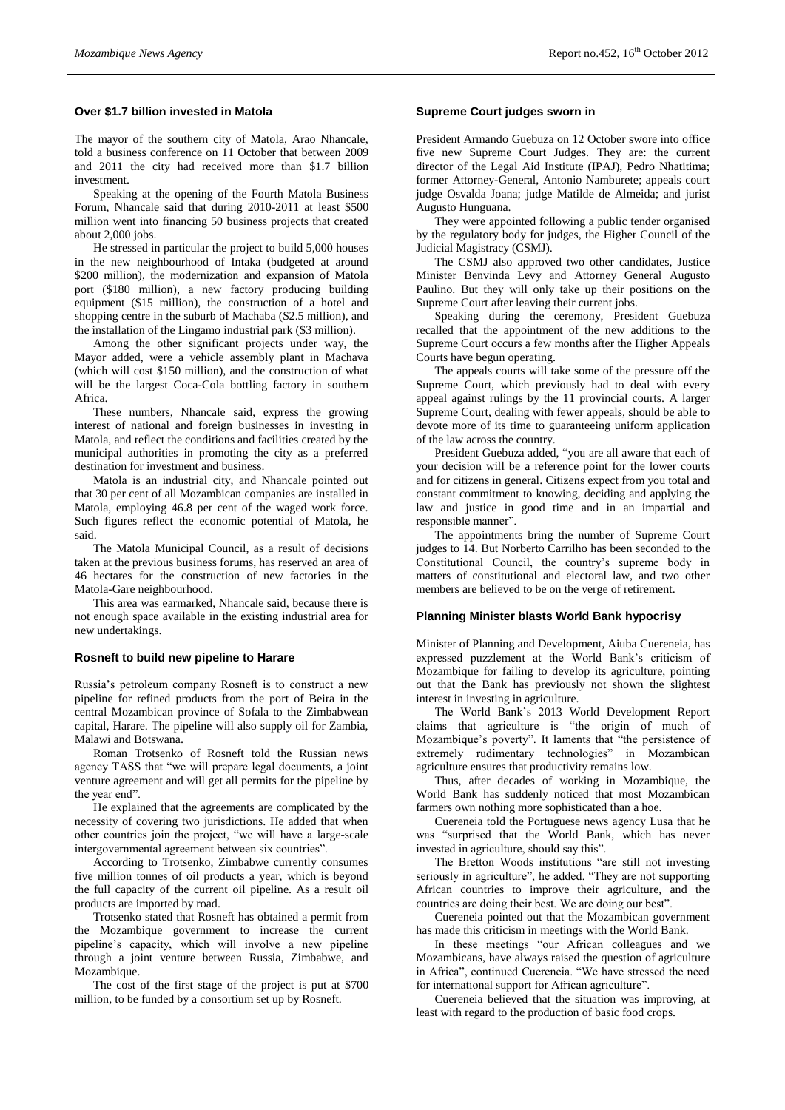### **Over \$1.7 billion invested in Matola**

The mayor of the southern city of Matola, Arao Nhancale, told a business conference on 11 October that between 2009 and 2011 the city had received more than \$1.7 billion investment.

Speaking at the opening of the Fourth Matola Business Forum, Nhancale said that during 2010-2011 at least \$500 million went into financing 50 business projects that created about 2,000 jobs.

He stressed in particular the project to build 5,000 houses in the new neighbourhood of Intaka (budgeted at around \$200 million), the modernization and expansion of Matola port (\$180 million), a new factory producing building equipment (\$15 million), the construction of a hotel and shopping centre in the suburb of Machaba (\$2.5 million), and the installation of the Lingamo industrial park (\$3 million).

Among the other significant projects under way, the Mayor added, were a vehicle assembly plant in Machava (which will cost \$150 million), and the construction of what will be the largest Coca-Cola bottling factory in southern Africa.

These numbers, Nhancale said, express the growing interest of national and foreign businesses in investing in Matola, and reflect the conditions and facilities created by the municipal authorities in promoting the city as a preferred destination for investment and business.

Matola is an industrial city, and Nhancale pointed out that 30 per cent of all Mozambican companies are installed in Matola, employing 46.8 per cent of the waged work force. Such figures reflect the economic potential of Matola, he said.

The Matola Municipal Council, as a result of decisions taken at the previous business forums, has reserved an area of 46 hectares for the construction of new factories in the Matola-Gare neighbourhood.

This area was earmarked, Nhancale said, because there is not enough space available in the existing industrial area for new undertakings.

#### **Rosneft to build new pipeline to Harare**

Russia's petroleum company Rosneft is to construct a new pipeline for refined products from the port of Beira in the central Mozambican province of Sofala to the Zimbabwean capital, Harare. The pipeline will also supply oil for Zambia, Malawi and Botswana.

Roman Trotsenko of Rosneft told the Russian news agency TASS that "we will prepare legal documents, a joint venture agreement and will get all permits for the pipeline by the year end".

He explained that the agreements are complicated by the necessity of covering two jurisdictions. He added that when other countries join the project, "we will have a large-scale intergovernmental agreement between six countries".

According to Trotsenko, Zimbabwe currently consumes five million tonnes of oil products a year, which is beyond the full capacity of the current oil pipeline. As a result oil products are imported by road.

Trotsenko stated that Rosneft has obtained a permit from the Mozambique government to increase the current pipeline's capacity, which will involve a new pipeline through a joint venture between Russia, Zimbabwe, and Mozambique.

The cost of the first stage of the project is put at \$700 million, to be funded by a consortium set up by Rosneft.

### **Supreme Court judges sworn in**

President Armando Guebuza on 12 October swore into office five new Supreme Court Judges. They are: the current director of the Legal Aid Institute (IPAJ), Pedro Nhatitima; former Attorney-General, Antonio Namburete; appeals court judge Osvalda Joana; judge Matilde de Almeida; and jurist Augusto Hunguana.

They were appointed following a public tender organised by the regulatory body for judges, the Higher Council of the Judicial Magistracy (CSMJ).

The CSMJ also approved two other candidates, Justice Minister Benvinda Levy and Attorney General Augusto Paulino. But they will only take up their positions on the Supreme Court after leaving their current jobs.

Speaking during the ceremony, President Guebuza recalled that the appointment of the new additions to the Supreme Court occurs a few months after the Higher Appeals Courts have begun operating.

The appeals courts will take some of the pressure off the Supreme Court, which previously had to deal with every appeal against rulings by the 11 provincial courts. A larger Supreme Court, dealing with fewer appeals, should be able to devote more of its time to guaranteeing uniform application of the law across the country.

President Guebuza added, "you are all aware that each of your decision will be a reference point for the lower courts and for citizens in general. Citizens expect from you total and constant commitment to knowing, deciding and applying the law and justice in good time and in an impartial and responsible manner".

The appointments bring the number of Supreme Court judges to 14. But Norberto Carrilho has been seconded to the Constitutional Council, the country's supreme body in matters of constitutional and electoral law, and two other members are believed to be on the verge of retirement.

## **Planning Minister blasts World Bank hypocrisy**

Minister of Planning and Development, Aiuba Cuereneia, has expressed puzzlement at the World Bank's criticism of Mozambique for failing to develop its agriculture, pointing out that the Bank has previously not shown the slightest interest in investing in agriculture.

The World Bank's 2013 World Development Report claims that agriculture is "the origin of much of Mozambique's poverty". It laments that "the persistence of extremely rudimentary technologies" in Mozambican agriculture ensures that productivity remains low.

Thus, after decades of working in Mozambique, the World Bank has suddenly noticed that most Mozambican farmers own nothing more sophisticated than a hoe.

Cuereneia told the Portuguese news agency Lusa that he was "surprised that the World Bank, which has never invested in agriculture, should say this".

The Bretton Woods institutions "are still not investing seriously in agriculture", he added. "They are not supporting African countries to improve their agriculture, and the countries are doing their best. We are doing our best".

Cuereneia pointed out that the Mozambican government has made this criticism in meetings with the World Bank.

In these meetings "our African colleagues and we Mozambicans, have always raised the question of agriculture in Africa", continued Cuereneia. "We have stressed the need for international support for African agriculture".

Cuereneia believed that the situation was improving, at least with regard to the production of basic food crops.